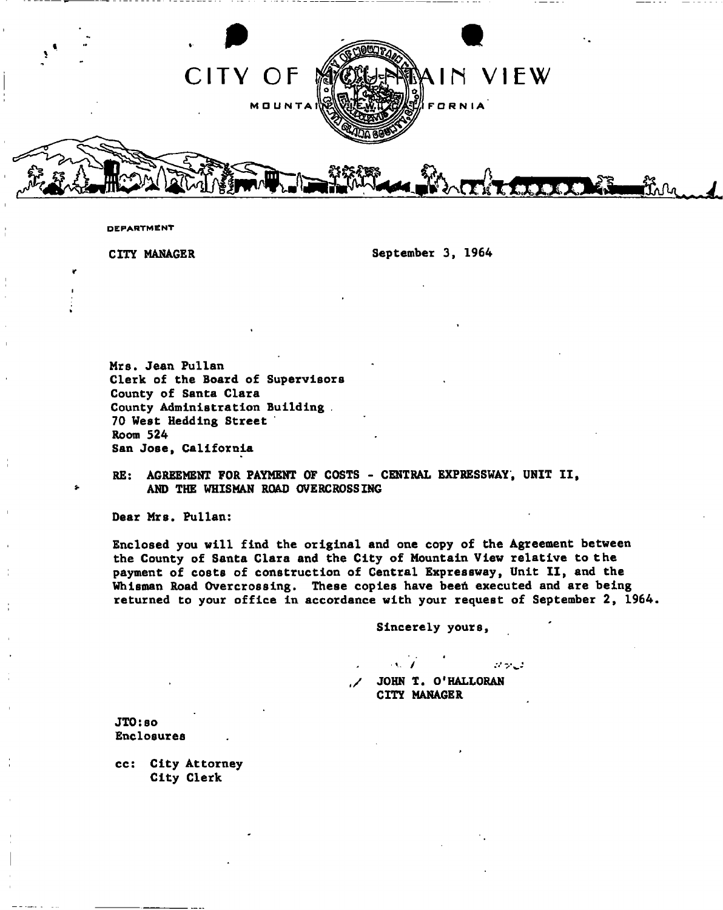

**DEPARTMENT** 

CITY MANAGER September 3, 1964

Mrs. Jean Pullan Clerk of the Board of Supervisors County of Santa Clara County Administration Building . 70 West Heddlng Street Room 524 San Jose, California

RE: AGREEMENT FOR PAYMENT OF COSTS - CENTRAL EXPRESSWAY, UNIT II, AND THE WHISMAN ROAD OVERCROSSING

Dear Mrs. Pullan:

Enclosed you will find the original and one copy of the Agreement between the County of Santa Clara and the City of Mountain View relative to the payment of costs of construction of Central Expressway, Unit II, and the Whisman Road Overcrossing. These copies have been executed and are being returned to your office in accordance with your request of September 2, 1964.

Sincerely yours

v /  $27.2$ JOHN T. O'HALLORAN CITY MANAGER

JT0:so Enclosures

cc: City Attorney City Clerk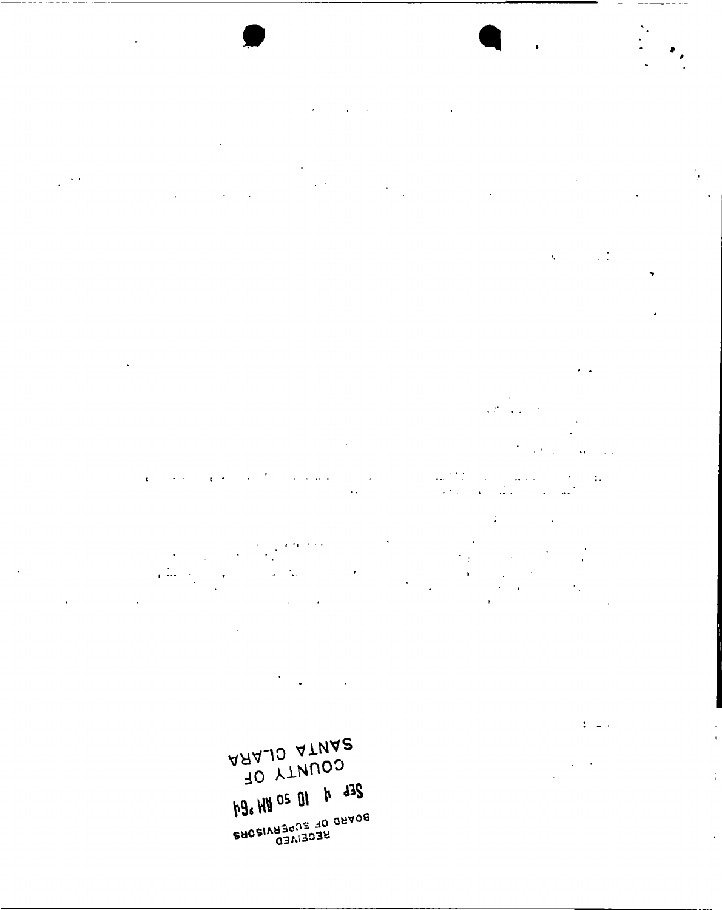AAAJO ATNA2 TO YTNUOS hg. HH OS OI h d3S **BACSIVA<sup>30</sup>US 10 GAAOB** 

 $\sim$   $\sim$   $\sim$ 

 $\bar{t}$  ,  $\bar{t}$  ,  $\bar{t}$ 

 $\frac{1}{2}$  ,  $\frac{1}{2}$ 

 $\bar{\alpha}$ 

 $\ddot{\phantom{1}}$  ,

 $\mathbb{Z}^n$  in  $\mathbb{Z}^n$  .

ĵ.

 $\bar{z}$ 

 $\bar{\mathbf{r}}$ 

 $\bar{t}$ 

 $\frac{1}{2}$ 

 $\frac{1}{2}$  $\bar{a}$  $\frac{1}{2}$ 

 $\mathcal{C}=\mathcal{C}$  .  $\overline{2}$  and  $\overline{2}$  $\sim$   $\sim$  $\sim 10^{-10}$  $\sim$   $\sim$  $\mathcal{L}^{\pm}$ å.  $\Gamma$  $\ddot{\phantom{a}}$ 

 $\sim 10^{-1}$  .  $\ddot{\phantom{a}}$ 

 $\frac{1}{2}$  $\sim 6$  $\bar{\mathbf{v}}$ 

 $\overline{\phantom{a}}$  $\cdot$ 

 $\ddot{\phantom{a}}$ 

 $\sim$   $\lambda$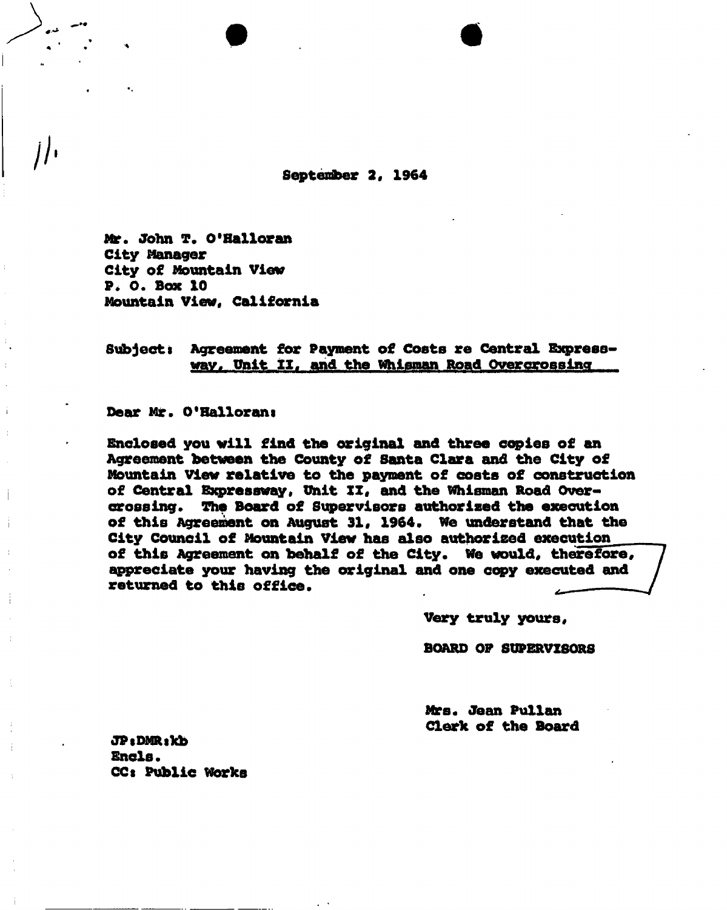**September 2, 1964** 

**Mr. John T. O'Bailoran City Manager City of Mountain View P. O. Box 10 Mountain View, California** 

Subject: Agreement for Payment of Costs re Central Express**wav, Pnit II. and the Whisman Road Overcrosslnq** 

**Dear Mr. O'Hallorani** 

**Enclosed you will find the original and three copies of an Agreement between the County of Santa Clara and the City of Mountain View relative to the payment of costs of construction of Central Expressway, Unit XX, and the Whisman Road Overcrossing. The Board of Supervisors authorized the execution of this Agreement on August 31, 1964. We understand that the City Council of Mountain View has also authorised execution of this Agreement on behalf of the City. We would, therefore, appreciate your having the original and one copy executed and returned to this office.** 

**Very truly yours,** 

**BOARD OP SUPERVISORS** 

**Mrs. Jean Pullan Clerk of the Board** 

JP: DMR: kb **Ends. CCt Public Works**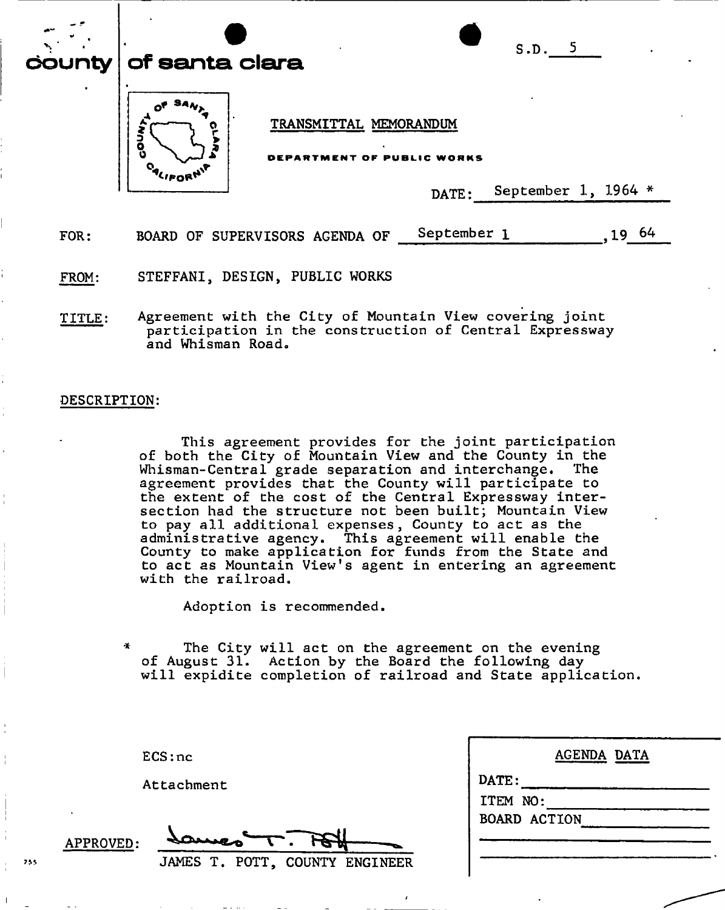| محم  | S.D. 5<br>county $ $ of santa clara                        |
|------|------------------------------------------------------------|
|      | TRANSMITTAL MEMORANDUM<br>٥<br>DEPARTMENT OF PUBLIC WORKS  |
|      | September 1, 1964 *<br>DATE:                               |
| FOR: | September 1<br>-64<br>BOARD OF SUPERVISORS AGENDA OF<br>19 |

FROM: STEFFANI, DESIGN, PUBLIC WORKS

TITLE: Agreement with the City of Mountain View covering joint participation in the construction of Central Expressway and Whisman Road.

## DESCRIPTION:

This agreement provides for the joint participation of both the City of Mountain View and the County in the Whisman-Central grade separation and interchange. The agreement provides that the County will participate to the extent of the cost of the Central Expressway intersection had the structure not been built; Mountain View to pay all additional expenses, County to act as the administrative agency. This agreement will enable the County to make application for funds from the State and to act as Mountain View's agent in entering an agreement with the railroad.

Adoption is recommended.

The City will act on the agreement on the evening of August 31. Action by the Board the following day will expidite completion of railroad and State application.

| DATE:               |  |  |
|---------------------|--|--|
| ITEM NO:            |  |  |
| <b>BOARD ACTION</b> |  |  |

**ECS:nc** 

**Attachment** 

**APPROVED:**  JAMES T. POTT, COUNTY ENGINEER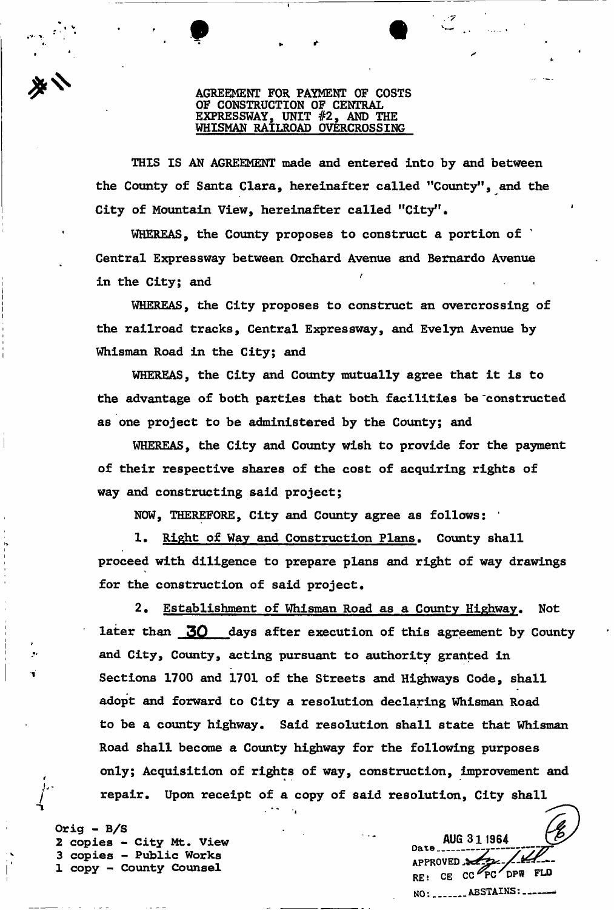## **AGREEMENT FOR PAYMENT OF COSTS OF CONSTRUCTION OF CENTRAL EXPRESSWAY, UNIT #2, AND THE WHISMAN RAILROAD OVERCROSSING**

**THIS IS AN AGREEMENT made and entered into by and between the County of Santa Clara, hereinafter called "County", and the City of Mountain View, hereinafter called "City".** 

**WHEREAS, the County proposes to construct a portion of Central Expressway between Orchard Avenue and Bernardo Avenue**  in the City; and

**WHEREAS, the City proposes to construct an overcrossing of the railroad tracks, Central Expressway, and Evelyn Avenue by Whisman Road in the City; and** 

**WHEREAS, the City and County mutually agree that it is to the advantage of both parties that both facilities be 'constructed as one project to be administered by the County; and** 

**WHEREAS, the City and County wish to provide for the payment of their respective shares of the cost of acquiring rights of way and constructing said project;** 

**NOW, THEREFORE, City and County agree as follows: '** 

**1. Right of Way and Construction Plans, County shall proceed with diligence to prepare plans and right of way drawings for the construction of said project.** 

**2 . Establishment of Whisman Road as a County Highway. Not**  later than 30 days after execution of this agreement by County **and City, County, acting pursuant to authority granted in Sections 1700 and 1701 of the Streets and Highways Code, shall adopt and forward to City a resolution declaring Whisman Road to be a county highway. Said resolution shall state that Whisman Road shall become a County highway for the following purposes only; Acquisition of rights of way, construction, improvement and repair. Upon receipt of a copy of said resolution, City shall** 

**Orig - B/S**  *2* **copies - City Mt. View 3 copies - Public Works 1 copy - County Counsel** 

**AUG 311964**  Da t.A ∠⊭ **APPROVED** CE CC PC DPW FLD **NO: ABSTAINS:**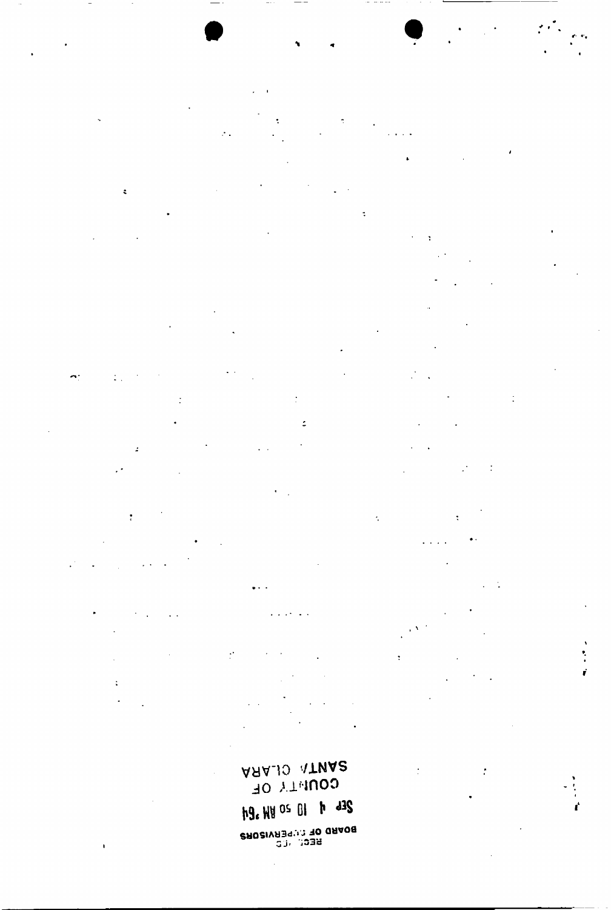ARAJO ATNA2 **COUNTY OF h9. HH OS 01 h d3S** BOWBO OL COMBUSORS

 $\overline{a}$ 

 $\ddot{\phantom{1}}$ 

 $\ddot{\phantom{a}}$ 

 $\mathbb{Z}_{\geq 0}$ 

 $\ddot{\phantom{0}}$ 

 $\ddot{\phantom{a}}$ 

 $\frac{1}{4}$ 

 $\ddot{\text{c}}$ 

 $\mathcal{F}_{\mathcal{F}}$ 

 $\sim$   $\sim$ 

 $\overline{\phantom{a}}$ 

 $\bar{\mathcal{C}}$  .

 $\ddot{\phantom{a}}$ 

 $\ddot{\phantom{a}}$ 

 $\ddot{\phantom{a}}$ 

 $\frac{1}{2}$ 

 $\mathcal{L}^{\pm}$  .

 $\ddot{\bullet}$  .

 $\mathcal{C}$ 

 $\ddot{\phantom{1}}$ 

 $\ddot{\cdot}$ 

 $\sim$   $\sim$ 

 $\ddot{\phantom{0}}$  $\ddot{\phantom{a}}$ 

 $\ddot{\cdot}$ 

 $\mathcal{L}^{\frac{1}{2}}$ 

 $\ddot{\phantom{a}}$ 

 $\overline{a}$ 

 $\sim$   $\sim$ 

 $\ddot{\cdot}$ 

 $\ddot{\cdot}$ 

 $\cdot$ 

 $\ddot{\cdot}$ 

ŕ

 $\ddot{\phantom{a}}$ 

 $\hat{\mathbf{r}}$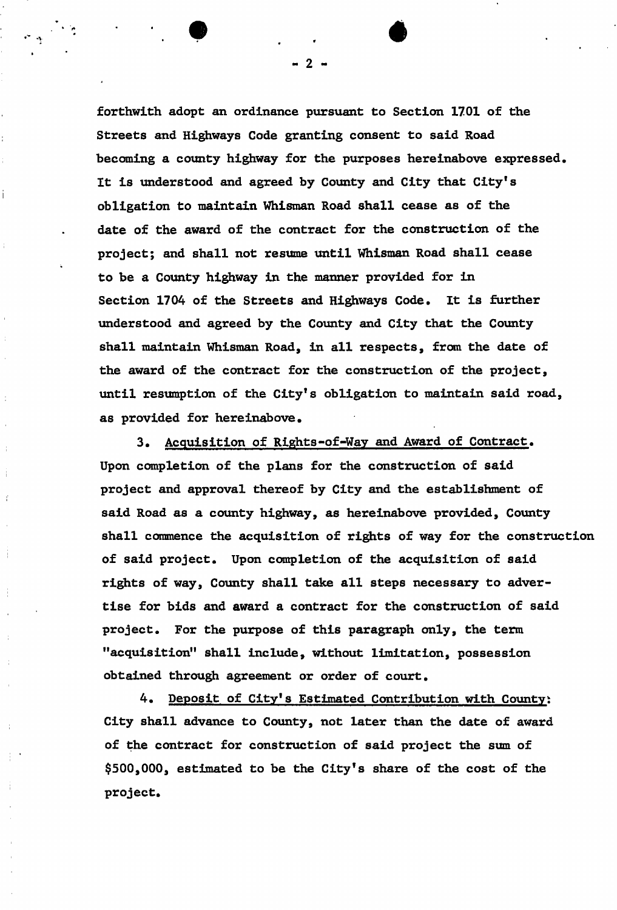**forthwith adopt an ordinance pursuant to Section 1701 of the Streets and Highways Code granting consent to said Road becoming a county highway for the purposes hereinabove expressed. It is understood and agreed by County and City that City's obligation to maintain Whisraan Road shall cease as of the date of the award of the contract for the construction of the project; and shall not resume until Whisman Road shall cease to be a County highway in the manner provided for in Section 1704 of the Streets and Highways Code. It is further understood and agreed by the County and City that the County shall maintain Whisman Road, in all respects, from the date of the award of the contract for the construction of the project, until resumption of the City's obligation to maintain said road,**  as provided for hereinabove.

**3. Acquisition of Rights-of-Way and Award of Contract. Upon completion of the plans for the construction of said project and approval thereof by City and the establishment of said Road as a county highway, as hereinabove provided, County shall commence the acquisition of rights of way for the construction of said project. Upon completion of the acquisition of said rights of way, County shall take all steps necessary to advertise for bids and award a contract for the construction of said project. For the purpose of this paragraph only, the term "acquisition<sup>11</sup> shall include, without limitation, possession obtained through agreement or order of court.** 

4. Deposit of City's Estimated Contribution with County: **City shall advance to County, not later than the date of award of the contract for construction of said project the sum of \$500,000, estimated to be the City's share of the cost of the project.** 

 $\bf 2$ 

 $\bullet$   $\bullet$   $\bullet$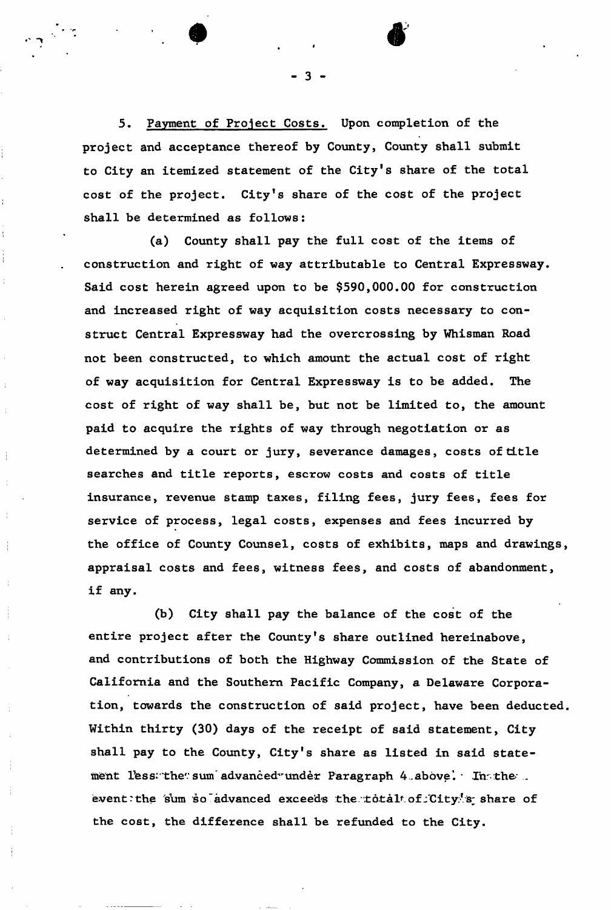5. Payment of Project Costs. Upon completion of the **project and acceptance thereof by County, County shall submit to City an itemized statement of the City's share of the total cost of the project. City's share of the cost of the project shall be determined as follows:** 

Ì

**(a) County shall pay the full cost of the items of construction and right of way attributable to Central Expressway. Said cost herein agreed upon to be \$590,000.00 for construction and increased right of way acquisition costs necessary to construct Central Expressway had the overcrossing by Whisman Road not been constructed, to which amount the actual cost of right of way acquisition for Central Expressway is to be added. The cost of right of way shall be, but not be limited to, the amount paid to acquire the rights of way through negotiation or as determined by a court or jury, severance damages, costs of title searches and title reports, escrow costs and costs of title insurance, revenue stamp taxes, filing fees, jury fees, fees for service of process, legal costs, expenses and fees incurred by the office of County Counsel, costs of exhibits, maps and drawings, appraisal costs and fees, witness fees, and costs of abandonment, if any.** 

**(b) City shall pay the balance of the cost of the entire project after the County's share outlined hereinabove, and contributions of both the Highway Commission of the State of California and the Southern Pacific Company, a Delaware Corporation, towards the construction of said project, have been deducted. Within thirty (30) days of the receipt of said statement, City shall pay to the County, City's share as listed in said state**ment less the sum advanced under Paragraph 4 above. In the ... event: the sum so advanced exceeds the totalt of City!s share of **the cost, the difference shall be refunded to the City.** 

-3.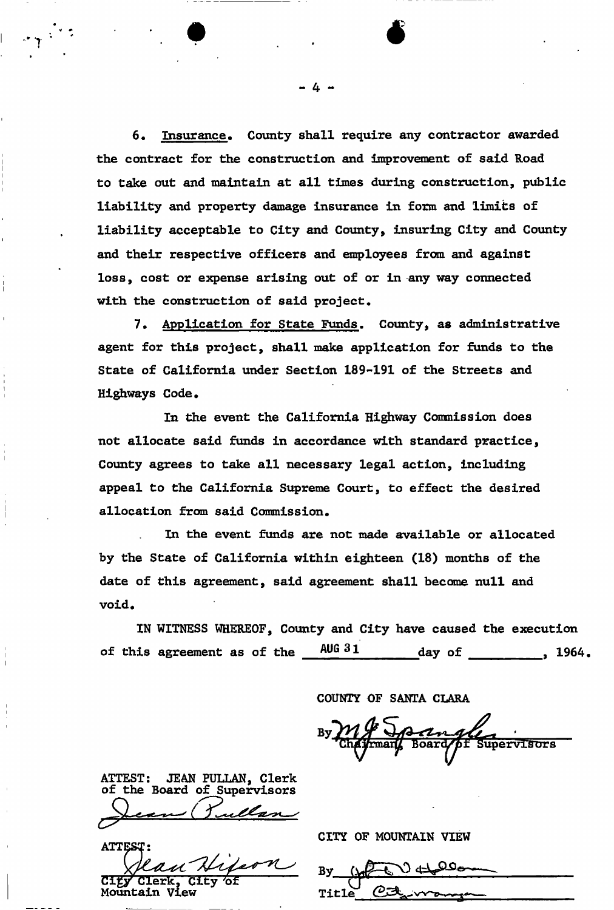**6. Insurance, County shall require any contractor awarded the contract for the construction and improvement of said Road to take out and maintain at all times during construction, public liability and property damage insurance in form and limits of liability acceptable to City and County, insuring City and County and their respective officers and employees from and against loss, cost or expense arising out of or in any way connected with the construction of said project.** 

**7. Application for State Funds, County, as administrative agent for this project, shall make application for funds to the State of California under Section 189-191 of the Streets and Highways Code,** 

**In the event the California Highway Commission does not allocate said funds in accordance with standard practice, County agrees to take all necessary legal action, including appeal to the California Supreme Court, to effect the desired allocation from said Commission.** 

**In the event funds are not made available or allocated by the State of California within eighteen (18) months of the date of this agreement, said agreement shall become null and void.** 

**IN WITNESS WHEREOF, County and City have caused the execution of this agreement as of the** AUG 31 day of 1964.

**COUNTY OF SANTA CLARA** 

**Supervisors** 

**ATTEST: JEAN PULLAN, Clerk of the Board of Supervisors** 

**CITY OF MOUNTAIN VIEW** 

**By. Title CgZ^-w-p-.** 

**4 -**

 $\bullet$